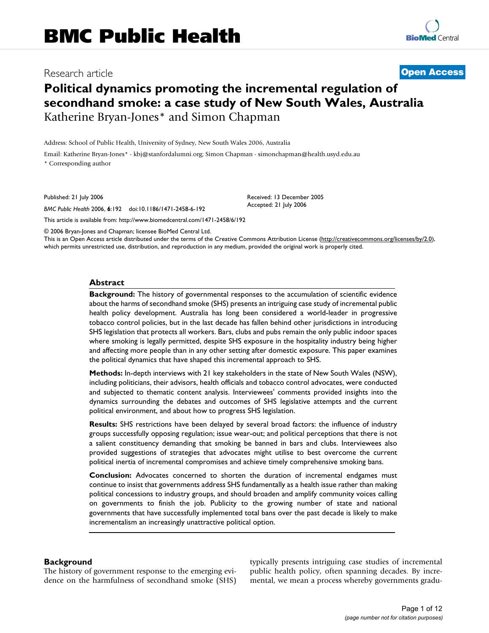# Research article **[Open Access](http://www.biomedcentral.com/info/about/charter/)**

# **Political dynamics promoting the incremental regulation of secondhand smoke: a case study of New South Wales, Australia** Katherine Bryan-Jones\* and Simon Chapman

Address: School of Public Health, University of Sydney, New South Wales 2006, Australia

Email: Katherine Bryan-Jones\* - kbj@stanfordalumni.org; Simon Chapman - simonchapman@health.usyd.edu.au \* Corresponding author

Published: 21 July 2006

*BMC Public Health* 2006, **6**:192 doi:10.1186/1471-2458-6-192

[This article is available from: http://www.biomedcentral.com/1471-2458/6/192](http://www.biomedcentral.com/1471-2458/6/192)

© 2006 Bryan-Jones and Chapman; licensee BioMed Central Ltd.

This is an Open Access article distributed under the terms of the Creative Commons Attribution License [\(http://creativecommons.org/licenses/by/2.0\)](http://creativecommons.org/licenses/by/2.0), which permits unrestricted use, distribution, and reproduction in any medium, provided the original work is properly cited.

Received: 13 December 2005 Accepted: 21 July 2006

#### **Abstract**

**Background:** The history of governmental responses to the accumulation of scientific evidence about the harms of secondhand smoke (SHS) presents an intriguing case study of incremental public health policy development. Australia has long been considered a world-leader in progressive tobacco control policies, but in the last decade has fallen behind other jurisdictions in introducing SHS legislation that protects all workers. Bars, clubs and pubs remain the only public indoor spaces where smoking is legally permitted, despite SHS exposure in the hospitality industry being higher and affecting more people than in any other setting after domestic exposure. This paper examines the political dynamics that have shaped this incremental approach to SHS.

**Methods:** In-depth interviews with 21 key stakeholders in the state of New South Wales (NSW), including politicians, their advisors, health officials and tobacco control advocates, were conducted and subjected to thematic content analysis. Interviewees' comments provided insights into the dynamics surrounding the debates and outcomes of SHS legislative attempts and the current political environment, and about how to progress SHS legislation.

**Results:** SHS restrictions have been delayed by several broad factors: the influence of industry groups successfully opposing regulation; issue wear-out; and political perceptions that there is not a salient constituency demanding that smoking be banned in bars and clubs. Interviewees also provided suggestions of strategies that advocates might utilise to best overcome the current political inertia of incremental compromises and achieve timely comprehensive smoking bans.

**Conclusion:** Advocates concerned to shorten the duration of incremental endgames must continue to insist that governments address SHS fundamentally as a health issue rather than making political concessions to industry groups, and should broaden and amplify community voices calling on governments to finish the job. Publicity to the growing number of state and national governments that have successfully implemented total bans over the past decade is likely to make incrementalism an increasingly unattractive political option.

#### **Background**

The history of government response to the emerging evidence on the harmfulness of secondhand smoke (SHS) typically presents intriguing case studies of incremental public health policy, often spanning decades. By incremental, we mean a process whereby governments gradu-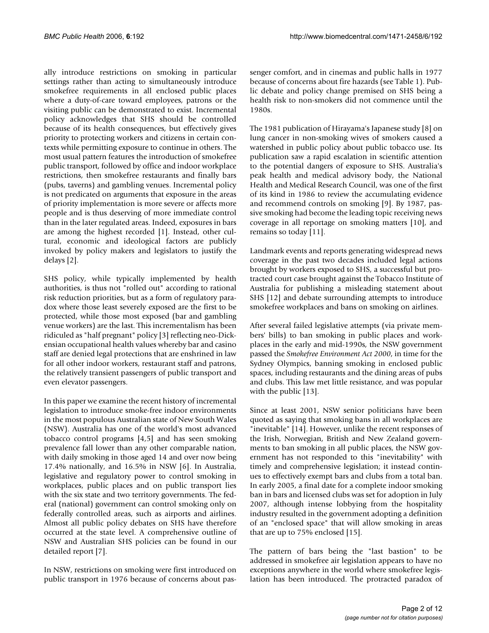ally introduce restrictions on smoking in particular settings rather than acting to simultaneously introduce smokefree requirements in all enclosed public places where a duty-of-care toward employees, patrons or the visiting public can be demonstrated to exist. Incremental policy acknowledges that SHS should be controlled because of its health consequences, but effectively gives priority to protecting workers and citizens in certain contexts while permitting exposure to continue in others. The most usual pattern features the introduction of smokefree public transport, followed by office and indoor workplace restrictions, then smokefree restaurants and finally bars (pubs, taverns) and gambling venues. Incremental policy is not predicated on arguments that exposure in the areas of priority implementation is more severe or affects more people and is thus deserving of more immediate control than in the later regulated areas. Indeed, exposures in bars are among the highest recorded [1]. Instead, other cultural, economic and ideological factors are publicly invoked by policy makers and legislators to justify the delays [2].

SHS policy, while typically implemented by health authorities, is thus not "rolled out" according to rational risk reduction priorities, but as a form of regulatory paradox where those least severely exposed are the first to be protected, while those most exposed (bar and gambling venue workers) are the last. This incrementalism has been ridiculed as "half pregnant" policy [3] reflecting neo-Dickensian occupational health values whereby bar and casino staff are denied legal protections that are enshrined in law for all other indoor workers, restaurant staff and patrons, the relatively transient passengers of public transport and even elevator passengers.

In this paper we examine the recent history of incremental legislation to introduce smoke-free indoor environments in the most populous Australian state of New South Wales (NSW). Australia has one of the world's most advanced tobacco control programs [4,5] and has seen smoking prevalence fall lower than any other comparable nation, with daily smoking in those aged 14 and over now being 17.4% nationally, and 16.5% in NSW [6]. In Australia, legislative and regulatory power to control smoking in workplaces, public places and on public transport lies with the six state and two territory governments. The federal (national) government can control smoking only on federally controlled areas, such as airports and airlines. Almost all public policy debates on SHS have therefore occurred at the state level. A comprehensive outline of NSW and Australian SHS policies can be found in our detailed report [7].

In NSW, restrictions on smoking were first introduced on public transport in 1976 because of concerns about passenger comfort, and in cinemas and public halls in 1977 because of concerns about fire hazards (see Table 1). Public debate and policy change premised on SHS being a health risk to non-smokers did not commence until the 1980s.

The 1981 publication of Hirayama's Japanese study [8] on lung cancer in non-smoking wives of smokers caused a watershed in public policy about public tobacco use. Its publication saw a rapid escalation in scientific attention to the potential dangers of exposure to SHS. Australia's peak health and medical advisory body, the National Health and Medical Research Council, was one of the first of its kind in 1986 to review the accumulating evidence and recommend controls on smoking [9]. By 1987, passive smoking had become the leading topic receiving news coverage in all reportage on smoking matters [10], and remains so today [11].

Landmark events and reports generating widespread news coverage in the past two decades included legal actions brought by workers exposed to SHS, a successful but protracted court case brought against the Tobacco Institute of Australia for publishing a misleading statement about SHS [12] and debate surrounding attempts to introduce smokefree workplaces and bans on smoking on airlines.

After several failed legislative attempts (via private members' bills) to ban smoking in public places and workplaces in the early and mid-1990s, the NSW government passed the *Smokefree Environment Act 2000*, in time for the Sydney Olympics, banning smoking in enclosed public spaces, including restaurants and the dining areas of pubs and clubs. This law met little resistance, and was popular with the public [13].

Since at least 2001, NSW senior politicians have been quoted as saying that smoking bans in all workplaces are "inevitable" [14]. However, unlike the recent responses of the Irish, Norwegian, British and New Zealand governments to ban smoking in all public places, the NSW government has not responded to this "inevitability" with timely and comprehensive legislation; it instead continues to effectively exempt bars and clubs from a total ban. In early 2005, a final date for a complete indoor smoking ban in bars and licensed clubs was set for adoption in July 2007, although intense lobbying from the hospitality industry resulted in the government adopting a definition of an "enclosed space" that will allow smoking in areas that are up to 75% enclosed [15].

The pattern of bars being the "last bastion" to be addressed in smokefree air legislation appears to have no exceptions anywhere in the world where smokefree legislation has been introduced. The protracted paradox of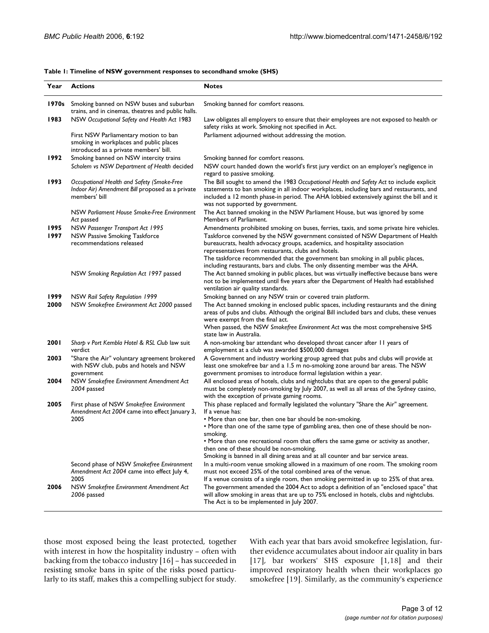|  | Table 1: Timeline of NSW government responses to secondhand smoke (SHS) |  |  |
|--|-------------------------------------------------------------------------|--|--|
|--|-------------------------------------------------------------------------|--|--|

| Year        | <b>Actions</b>                                                                                                             | <b>Notes</b>                                                                                                                                                                                                                                                                                                                                                                                                                                                                                 |
|-------------|----------------------------------------------------------------------------------------------------------------------------|----------------------------------------------------------------------------------------------------------------------------------------------------------------------------------------------------------------------------------------------------------------------------------------------------------------------------------------------------------------------------------------------------------------------------------------------------------------------------------------------|
| 1970s       | Smoking banned on NSW buses and suburban<br>trains, and in cinemas, theatres and public halls.                             | Smoking banned for comfort reasons.                                                                                                                                                                                                                                                                                                                                                                                                                                                          |
| 1983        | NSW Occupational Safety and Health Act 1983                                                                                | Law obligates all employers to ensure that their employees are not exposed to health or<br>safety risks at work. Smoking not specified in Act.                                                                                                                                                                                                                                                                                                                                               |
|             | First NSW Parliamentary motion to ban<br>smoking in workplaces and public places<br>introduced as a private members' bill. | Parliament adjourned without addressing the motion.                                                                                                                                                                                                                                                                                                                                                                                                                                          |
| 1992        | Smoking banned on NSW intercity trains<br>Scholem vs NSW Department of Health decided                                      | Smoking banned for comfort reasons.<br>NSW court handed down the world's first jury verdict on an employer's negligence in<br>regard to passive smoking.                                                                                                                                                                                                                                                                                                                                     |
| 1993        | Occupational Health and Safety (Smoke-Free<br>Indoor Air) Amendment Bill proposed as a private<br>members' bill            | The Bill sought to amend the 1983 Occupational Health and Safety Act to include explicit<br>statements to ban smoking in all indoor workplaces, including bars and restaurants, and<br>included a 12 month phase-in period. The AHA lobbied extensively against the bill and it<br>was not supported by government.                                                                                                                                                                          |
|             | NSW Parliament House Smoke-Free Environment<br>Act passed                                                                  | The Act banned smoking in the NSW Parliament House, but was ignored by some<br>Members of Parliament.                                                                                                                                                                                                                                                                                                                                                                                        |
| 1995        | NSW Passenger Transport Act 1995                                                                                           | Amendments prohibited smoking on buses, ferries, taxis, and some private hire vehicles.                                                                                                                                                                                                                                                                                                                                                                                                      |
| 1997        | NSW Passive Smoking Taskforce<br>recommendations released                                                                  | Taskforce convened by the NSW government consisted of NSW Department of Health<br>bureaucrats, health advocacy groups, academics, and hospitality association<br>representatives from restaurants, clubs and hotels.<br>The taskforce recommended that the government ban smoking in all public places,                                                                                                                                                                                      |
|             |                                                                                                                            | including restaurants, bars and clubs. The only dissenting member was the AHA.                                                                                                                                                                                                                                                                                                                                                                                                               |
|             | NSW Smoking Regulation Act 1997 passed                                                                                     | The Act banned smoking in public places, but was virtually ineffective because bans were<br>not to be implemented until five years after the Department of Health had established<br>ventilation air quality standards.                                                                                                                                                                                                                                                                      |
| 1999        | NSW Rail Safety Regulation 1999                                                                                            | Smoking banned on any NSW train or covered train platform.                                                                                                                                                                                                                                                                                                                                                                                                                                   |
| 2000        | NSW Smokefree Environment Act 2000 passed                                                                                  | The Act banned smoking in enclosed public spaces, including restaurants and the dining<br>areas of pubs and clubs. Although the original Bill included bars and clubs, these venues<br>were exempt from the final act.<br>When passed, the NSW Smokefree Environment Act was the most comprehensive SHS                                                                                                                                                                                      |
| <b>2001</b> | Sharp v Port Kembla Hotel & RSL Club law suit<br>verdict                                                                   | state law in Australia.<br>A non-smoking bar attendant who developed throat cancer after 11 years of<br>employment at a club was awarded \$500,000 damages                                                                                                                                                                                                                                                                                                                                   |
| 2003        | "Share the Air" voluntary agreement brokered<br>with NSW club, pubs and hotels and NSW<br>government                       | A Government and industry working group agreed that pubs and clubs will provide at<br>least one smokefree bar and a 1.5 m no-smoking zone around bar areas. The NSW<br>government promises to introduce formal legislation within a year.                                                                                                                                                                                                                                                    |
| 2004        | NSW Smokefree Environment Amendment Act<br>2004 passed                                                                     | All enclosed areas of hotels, clubs and nightclubs that are open to the general public<br>must be completely non-smoking by July 2007, as well as all areas of the Sydney casino,<br>with the exception of private gaming rooms.                                                                                                                                                                                                                                                             |
| 2005        | First phase of NSW Smokefree Environment<br>Amendment Act 2004 came into effect January 3,<br>2005                         | This phase replaced and formally legislated the voluntary "Share the Air" agreement.<br>If a venue has:<br>. More than one bar, then one bar should be non-smoking.<br>• More than one of the same type of gambling area, then one of these should be non-<br>smoking.<br>• More than one recreational room that offers the same game or activity as another,<br>then one of these should be non-smoking.<br>Smoking is banned in all dining areas and at all counter and bar service areas. |
|             | Second phase of NSW Smokefree Environment<br>Amendment Act 2004 came into effect July 4,<br>2005                           | In a multi-room venue smoking allowed in a maximum of one room. The smoking room<br>must not exceed 25% of the total combined area of the venue.<br>If a venue consists of a single room, then smoking permitted in up to 25% of that area.                                                                                                                                                                                                                                                  |
| 2006        | NSW Smokefree Environment Amendment Act<br>2006 passed                                                                     | The government amended the 2004 Act to adopt a definition of an "enclosed space" that<br>will allow smoking in areas that are up to 75% enclosed in hotels, clubs and nightclubs.<br>The Act is to be implemented in July 2007.                                                                                                                                                                                                                                                              |

those most exposed being the least protected, together with interest in how the hospitality industry – often with backing from the tobacco industry [16] – has succeeded in resisting smoke bans in spite of the risks posed particularly to its staff, makes this a compelling subject for study. With each year that bars avoid smokefree legislation, further evidence accumulates about indoor air quality in bars [17], bar workers' SHS exposure [1,18] and their improved respiratory health when their workplaces go smokefree [19]. Similarly, as the community's experience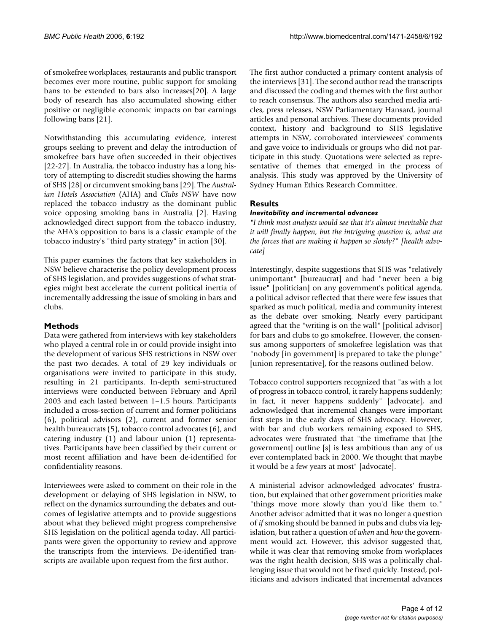of smokefree workplaces, restaurants and public transport becomes ever more routine, public support for smoking bans to be extended to bars also increases[20]. A large body of research has also accumulated showing either positive or negligible economic impacts on bar earnings following bans [21].

Notwithstanding this accumulating evidence, interest groups seeking to prevent and delay the introduction of smokefree bars have often succeeded in their objectives [22-27]. In Australia, the tobacco industry has a long history of attempting to discredit studies showing the harms of SHS [28] or circumvent smoking bans [29]. The *Australian Hotels Association* (AHA) and *Clubs NSW* have now replaced the tobacco industry as the dominant public voice opposing smoking bans in Australia [2]. Having acknowledged direct support from the tobacco industry, the AHA's opposition to bans is a classic example of the tobacco industry's "third party strategy" in action [30].

This paper examines the factors that key stakeholders in NSW believe characterise the policy development process of SHS legislation, and provides suggestions of what strategies might best accelerate the current political inertia of incrementally addressing the issue of smoking in bars and clubs.

# **Methods**

Data were gathered from interviews with key stakeholders who played a central role in or could provide insight into the development of various SHS restrictions in NSW over the past two decades. A total of 29 key individuals or organisations were invited to participate in this study, resulting in 21 participants. In-depth semi-structured interviews were conducted between February and April 2003 and each lasted between 1–1.5 hours. Participants included a cross-section of current and former politicians (6), political advisors (2), current and former senior health bureaucrats (5), tobacco control advocates (6), and catering industry (1) and labour union (1) representatives. Participants have been classified by their current or most recent affiliation and have been de-identified for confidentiality reasons.

Interviewees were asked to comment on their role in the development or delaying of SHS legislation in NSW, to reflect on the dynamics surrounding the debates and outcomes of legislative attempts and to provide suggestions about what they believed might progress comprehensive SHS legislation on the political agenda today. All participants were given the opportunity to review and approve the transcripts from the interviews. De-identified transcripts are available upon request from the first author.

The first author conducted a primary content analysis of the interviews [31]. The second author read the transcripts and discussed the coding and themes with the first author to reach consensus. The authors also searched media articles, press releases, NSW Parliamentary Hansard, journal articles and personal archives. These documents provided context, history and background to SHS legislative attempts in NSW, corroborated interviewees' comments and gave voice to individuals or groups who did not participate in this study. Quotations were selected as representative of themes that emerged in the process of analysis. This study was approved by the University of Sydney Human Ethics Research Committee.

# **Results**

# *Inevitability and incremental advances*

*"I think most analysts would see that it's almost inevitable that it will finally happen, but the intriguing question is, what are the forces that are making it happen so slowly?" [health advocate]*

Interestingly, despite suggestions that SHS was "relatively unimportant" [bureaucrat] and had "never been a big issue" [politician] on any government's political agenda, a political advisor reflected that there were few issues that sparked as much political, media and community interest as the debate over smoking. Nearly every participant agreed that the "writing is on the wall" [political advisor] for bars and clubs to go smokefree. However, the consensus among supporters of smokefree legislation was that "nobody [in government] is prepared to take the plunge" [union representative], for the reasons outlined below.

Tobacco control supporters recognized that "as with a lot of progress in tobacco control, it rarely happens suddenly; in fact, it never happens suddenly" [advocate], and acknowledged that incremental changes were important first steps in the early days of SHS advocacy. However, with bar and club workers remaining exposed to SHS, advocates were frustrated that "the timeframe that [the government] outline [s] is less ambitious than any of us ever contemplated back in 2000. We thought that maybe it would be a few years at most" [advocate].

A ministerial advisor acknowledged advocates' frustration, but explained that other government priorities make "things move more slowly than you'd like them to." Another advisor admitted that it was no longer a question of *if* smoking should be banned in pubs and clubs via legislation, but rather a question of *when* and *how* the government would act. However, this advisor suggested that, while it was clear that removing smoke from workplaces was the right health decision, SHS was a politically challenging issue that would not be fixed quickly. Instead, politicians and advisors indicated that incremental advances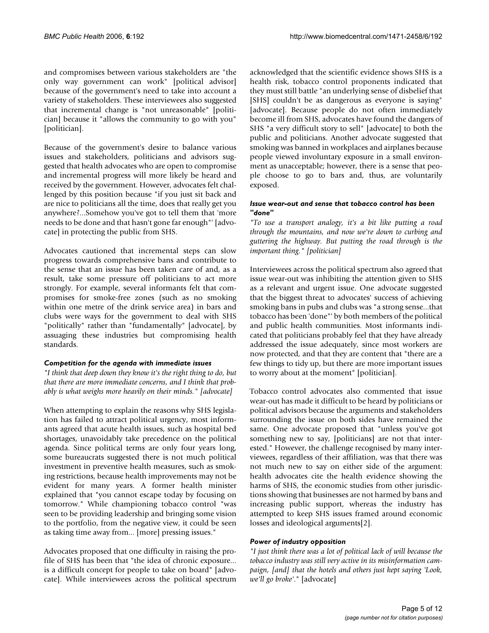and compromises between various stakeholders are "the only way government can work" [political advisor] because of the government's need to take into account a variety of stakeholders. These interviewees also suggested that incremental change is "not unreasonable" [politician] because it "allows the community to go with you" [politician].

Because of the government's desire to balance various issues and stakeholders, politicians and advisors suggested that health advocates who are open to compromise and incremental progress will more likely be heard and received by the government. However, advocates felt challenged by this position because "if you just sit back and are nice to politicians all the time, does that really get you anywhere?...Somehow you've got to tell them that 'more needs to be done and that hasn't gone far enough"' [advocate] in protecting the public from SHS.

Advocates cautioned that incremental steps can slow progress towards comprehensive bans and contribute to the sense that an issue has been taken care of and, as a result, take some pressure off politicians to act more strongly. For example, several informants felt that compromises for smoke-free zones (such as no smoking within one metre of the drink service area) in bars and clubs were ways for the government to deal with SHS "politically" rather than "fundamentally" [advocate], by assuaging these industries but compromising health standards.

#### *Competition for the agenda with immediate issues*

*"I think that deep down they know it's the right thing to do, but that there are more immediate concerns, and I think that probably is what weighs more heavily on their minds." [advocate]*

When attempting to explain the reasons why SHS legislation has failed to attract political urgency, most informants agreed that acute health issues, such as hospital bed shortages, unavoidably take precedence on the political agenda. Since political terms are only four years long, some bureaucrats suggested there is not much political investment in preventive health measures, such as smoking restrictions, because health improvements may not be evident for many years. A former health minister explained that "you cannot escape today by focusing on tomorrow." While championing tobacco control "was seen to be providing leadership and bringing some vision to the portfolio, from the negative view, it could be seen as taking time away from... [more] pressing issues."

Advocates proposed that one difficulty in raising the profile of SHS has been that "the idea of chronic exposure... is a difficult concept for people to take on board" [advocate]. While interviewees across the political spectrum

acknowledged that the scientific evidence shows SHS is a health risk, tobacco control proponents indicated that they must still battle "an underlying sense of disbelief that [SHS] couldn't be as dangerous as everyone is saying" [advocate]. Because people do not often immediately become ill from SHS, advocates have found the dangers of SHS "a very difficult story to sell" [advocate] to both the public and politicians. Another advocate suggested that smoking was banned in workplaces and airplanes because people viewed involuntary exposure in a small environment as unacceptable; however, there is a sense that people choose to go to bars and, thus, are voluntarily exposed.

#### *Issue wear-out and sense that tobacco control has been "done"*

*"To use a transport analogy, it's a bit like putting a road through the mountains, and now we're down to curbing and guttering the highway. But putting the road through is the important thing." [politician]*

Interviewees across the political spectrum also agreed that issue wear-out was inhibiting the attention given to SHS as a relevant and urgent issue. One advocate suggested that the biggest threat to advocates' success of achieving smoking bans in pubs and clubs was "a strong sense...that tobacco has been 'done"' by both members of the political and public health communities. Most informants indicated that politicians probably feel that they have already addressed the issue adequately, since most workers are now protected, and that they are content that "there are a few things to tidy up, but there are more important issues to worry about at the moment" [politician].

Tobacco control advocates also commented that issue wear-out has made it difficult to be heard by politicians or political advisors because the arguments and stakeholders surrounding the issue on both sides have remained the same. One advocate proposed that "unless you've got something new to say, [politicians] are not that interested." However, the challenge recognised by many interviewees, regardless of their affiliation, was that there was not much new to say on either side of the argument: health advocates cite the health evidence showing the harms of SHS, the economic studies from other jurisdictions showing that businesses are not harmed by bans and increasing public support, whereas the industry has attempted to keep SHS issues framed around economic losses and ideological arguments[2].

## *Power of industry opposition*

*"I just think there was a lot of political lack of will because the tobacco industry was still very active in its misinformation campaign, [and] that the hotels and others just kept saying 'Look, we'll go broke'*." [advocate]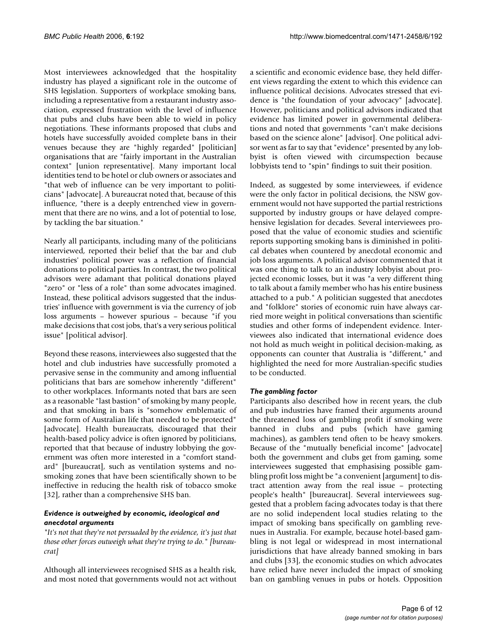Most interviewees acknowledged that the hospitality industry has played a significant role in the outcome of SHS legislation. Supporters of workplace smoking bans, including a representative from a restaurant industry association, expressed frustration with the level of influence that pubs and clubs have been able to wield in policy negotiations. These informants proposed that clubs and hotels have successfully avoided complete bans in their venues because they are "highly regarded" [politician] organisations that are "fairly important in the Australian context" [union representative]. Many important local identities tend to be hotel or club owners or associates and "that web of influence can be very important to politicians" [advocate]. A bureaucrat noted that, because of this influence, "there is a deeply entrenched view in government that there are no wins, and a lot of potential to lose, by tackling the bar situation."

Nearly all participants, including many of the politicians interviewed, reported their belief that the bar and club industries' political power was a reflection of financial donations to political parties. In contrast, the two political advisors were adamant that political donations played "zero" or "less of a role" than some advocates imagined. Instead, these political advisors suggested that the industries' influence with government is via the currency of job loss arguments – however spurious – because "if you make decisions that cost jobs, that's a very serious political issue" [political advisor].

Beyond these reasons, interviewees also suggested that the hotel and club industries have successfully promoted a pervasive sense in the community and among influential politicians that bars are somehow inherently "different" to other workplaces. Informants noted that bars are seen as a reasonable "last bastion" of smoking by many people, and that smoking in bars is "somehow emblematic of some form of Australian life that needed to be protected" [advocate]. Health bureaucrats, discouraged that their health-based policy advice is often ignored by politicians, reported that that because of industry lobbying the government was often more interested in a "comfort standard" [bureaucrat], such as ventilation systems and nosmoking zones that have been scientifically shown to be ineffective in reducing the health risk of tobacco smoke [32], rather than a comprehensive SHS ban.

## *Evidence is outweighed by economic, ideological and anecdotal arguments*

*"It's not that they're not persuaded by the evidence, it's just that those other forces outweigh what they're trying to do." [bureaucrat]*

Although all interviewees recognised SHS as a health risk, and most noted that governments would not act without a scientific and economic evidence base, they held different views regarding the extent to which this evidence can influence political decisions. Advocates stressed that evidence is "the foundation of your advocacy" [advocate]. However, politicians and political advisors indicated that evidence has limited power in governmental deliberations and noted that governments "can't make decisions based on the science alone" [advisor]. One political advisor went as far to say that "evidence" presented by any lobbyist is often viewed with circumspection because lobbyists tend to "spin" findings to suit their position.

Indeed, as suggested by some interviewees, if evidence were the only factor in political decisions, the NSW government would not have supported the partial restrictions supported by industry groups or have delayed comprehensive legislation for decades. Several interviewees proposed that the value of economic studies and scientific reports supporting smoking bans is diminished in political debates when countered by anecdotal economic and job loss arguments. A political advisor commented that it was one thing to talk to an industry lobbyist about projected economic losses, but it was "a very different thing to talk about a family member who has his entire business attached to a pub." A politician suggested that anecdotes and "folklore" stories of economic ruin have always carried more weight in political conversations than scientific studies and other forms of independent evidence. Interviewees also indicated that international evidence does not hold as much weight in political decision-making, as opponents can counter that Australia is "different," and highlighted the need for more Australian-specific studies to be conducted.

## *The gambling factor*

Participants also described how in recent years, the club and pub industries have framed their arguments around the threatened loss of gambling profit if smoking were banned in clubs and pubs (which have gaming machines), as gamblers tend often to be heavy smokers. Because of the "mutually beneficial income" [advocate] both the government and clubs get from gaming, some interviewees suggested that emphasising possible gambling profit loss might be "a convenient [argument] to distract attention away from the real issue – protecting people's health" [bureaucrat]. Several interviewees suggested that a problem facing advocates today is that there are no solid independent local studies relating to the impact of smoking bans specifically on gambling revenues in Australia. For example, because hotel-based gambling is not legal or widespread in most international jurisdictions that have already banned smoking in bars and clubs [33], the economic studies on which advocates have relied have never included the impact of smoking ban on gambling venues in pubs or hotels. Opposition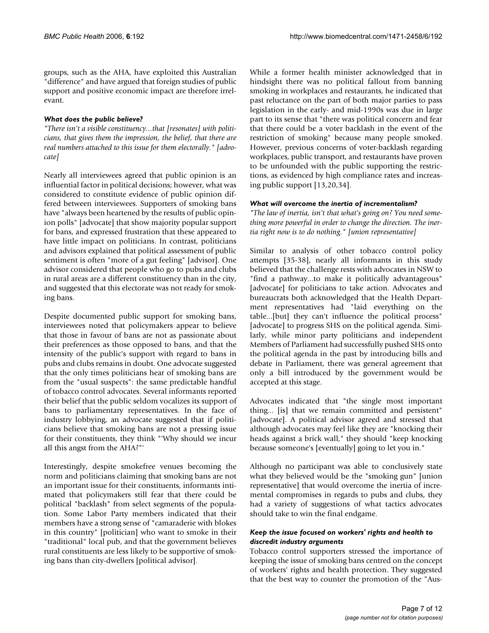groups, such as the AHA, have exploited this Australian "difference" and have argued that foreign studies of public support and positive economic impact are therefore irrelevant.

#### *What does the public believe?*

*"There isn't a visible constituency...that [resonates] with politicians, that gives them the impression, the belief, that there are real numbers attached to this issue for them electorally." [advocate]*

Nearly all interviewees agreed that public opinion is an influential factor in political decisions; however, what was considered to constitute evidence of public opinion differed between interviewees. Supporters of smoking bans have "always been heartened by the results of public opinion polls" [advocate] that show majority popular support for bans, and expressed frustration that these appeared to have little impact on politicians. In contrast, politicians and advisors explained that political assessment of public sentiment is often "more of a gut feeling" [advisor]. One advisor considered that people who go to pubs and clubs in rural areas are a different constituency than in the city, and suggested that this electorate was not ready for smoking bans.

Despite documented public support for smoking bans, interviewees noted that policymakers appear to believe that those in favour of bans are not as passionate about their preferences as those opposed to bans, and that the intensity of the public's support with regard to bans in pubs and clubs remains in doubt. One advocate suggested that the only times politicians hear of smoking bans are from the "usual suspects": the same predictable handful of tobacco control advocates. Several informants reported their belief that the public seldom vocalizes its support of bans to parliamentary representatives. In the face of industry lobbying, an advocate suggested that if politicians believe that smoking bans are not a pressing issue for their constituents, they think "'Why should we incur all this angst from the AHA?"'

Interestingly, despite smokefree venues becoming the norm and politicians claiming that smoking bans are not an important issue for their constituents, informants intimated that policymakers still fear that there could be political "backlash" from select segments of the population. Some Labor Party members indicated that their members have a strong sense of "camaraderie with blokes in this country" [politician] who want to smoke in their "traditional" local pub, and that the government believes rural constituents are less likely to be supportive of smoking bans than city-dwellers [political advisor].

While a former health minister acknowledged that in hindsight there was no political fallout from banning smoking in workplaces and restaurants, he indicated that past reluctance on the part of both major parties to pass legislation in the early- and mid-1990s was due in large part to its sense that "there was political concern and fear that there could be a voter backlash in the event of the restriction of smoking" because many people smoked. However, previous concerns of voter-backlash regarding workplaces, public transport, and restaurants have proven to be unfounded with the public supporting the restrictions, as evidenced by high compliance rates and increasing public support [13,20,34].

#### *What will overcome the inertia of incrementalism?*

*"The law of inertia, isn't that what's going on? You need something more powerful in order to change the direction. The inertia right now is to do nothing." [union representative]*

Similar to analysis of other tobacco control policy attempts [35-38], nearly all informants in this study believed that the challenge rests with advocates in NSW to "find a pathway...to make it politically advantageous" [advocate] for politicians to take action. Advocates and bureaucrats both acknowledged that the Health Department representatives had "laid everything on the table...[but] they can't influence the political process" [advocate] to progress SHS on the political agenda. Similarly, while minor party politicians and independent Members of Parliament had successfully pushed SHS onto the political agenda in the past by introducing bills and debate in Parliament, there was general agreement that only a bill introduced by the government would be accepted at this stage.

Advocates indicated that "the single most important thing... [is] that we remain committed and persistent" [advocate]. A political advisor agreed and stressed that although advocates may feel like they are "knocking their heads against a brick wall," they should "keep knocking because someone's [eventually] going to let you in."

Although no participant was able to conclusively state what they believed would be the "smoking gun" [union representative] that would overcome the inertia of incremental compromises in regards to pubs and clubs, they had a variety of suggestions of what tactics advocates should take to win the final endgame.

## *Keep the issue focused on workers' rights and health to discredit industry arguments*

Tobacco control supporters stressed the importance of keeping the issue of smoking bans centred on the concept of workers' rights and health protection. They suggested that the best way to counter the promotion of the "Aus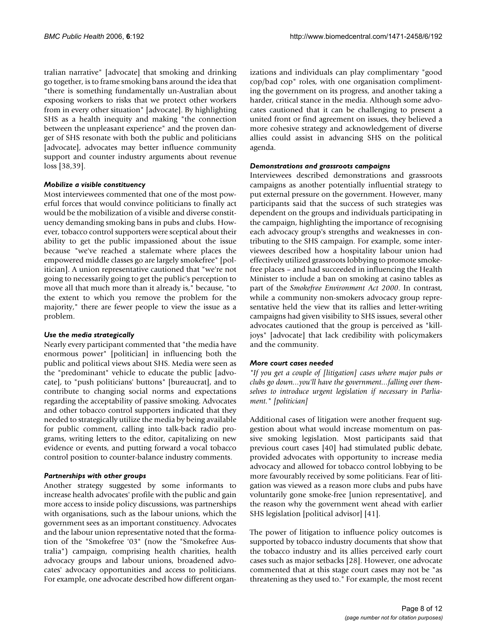tralian narrative" [advocate] that smoking and drinking go together, is to frame smoking bans around the idea that "there is something fundamentally un-Australian about exposing workers to risks that we protect other workers from in every other situation" [advocate]. By highlighting SHS as a health inequity and making "the connection between the unpleasant experience" and the proven danger of SHS resonate with both the public and politicians [advocate], advocates may better influence community support and counter industry arguments about revenue loss [38,39].

#### *Mobilize a visible constituency*

Most interviewees commented that one of the most powerful forces that would convince politicians to finally act would be the mobilization of a visible and diverse constituency demanding smoking bans in pubs and clubs. However, tobacco control supporters were sceptical about their ability to get the public impassioned about the issue because "we've reached a stalemate where places the empowered middle classes go are largely smokefree" [politician]. A union representative cautioned that "we're not going to necessarily going to get the public's perception to move all that much more than it already is," because, "to the extent to which you remove the problem for the majority," there are fewer people to view the issue as a problem.

## *Use the media strategically*

Nearly every participant commented that "the media have enormous power" [politician] in influencing both the public and political views about SHS. Media were seen as the "predominant" vehicle to educate the public [advocate], to "push politicians' buttons" [bureaucrat], and to contribute to changing social norms and expectations regarding the acceptability of passive smoking. Advocates and other tobacco control supporters indicated that they needed to strategically utilize the media by being available for public comment, calling into talk-back radio programs, writing letters to the editor, capitalizing on new evidence or events, and putting forward a vocal tobacco control position to counter-balance industry comments.

## *Partnerships with other groups*

Another strategy suggested by some informants to increase health advocates' profile with the public and gain more access to inside policy discussions, was partnerships with organisations, such as the labour unions, which the government sees as an important constituency. Advocates and the labour union representative noted that the formation of the "Smokefree '03" (now the "Smokefree Australia") campaign, comprising health charities, health advocacy groups and labour unions, broadened advocates' advocacy opportunities and access to politicians. For example, one advocate described how different organizations and individuals can play complimentary "good cop/bad cop" roles, with one organisation complimenting the government on its progress, and another taking a harder, critical stance in the media. Although some advocates cautioned that it can be challenging to present a united front or find agreement on issues, they believed a more cohesive strategy and acknowledgement of diverse allies could assist in advancing SHS on the political agenda.

## *Demonstrations and grassroots campaigns*

Interviewees described demonstrations and grassroots campaigns as another potentially influential strategy to put external pressure on the government. However, many participants said that the success of such strategies was dependent on the groups and individuals participating in the campaign, highlighting the importance of recognising each advocacy group's strengths and weaknesses in contributing to the SHS campaign. For example, some interviewees described how a hospitality labour union had effectively utilized grassroots lobbying to promote smokefree places – and had succeeded in influencing the Health Minister to include a ban on smoking at casino tables as part of the *Smokefree Environment Act 2000*. In contrast, while a community non-smokers advocacy group representative held the view that its rallies and letter-writing campaigns had given visibility to SHS issues, several other advocates cautioned that the group is perceived as "killjoys" [advocate] that lack credibility with policymakers and the community.

## *More court cases needed*

*"If you get a couple of [litigation] cases where major pubs or clubs go down...you'll have the government...falling over themselves to introduce urgent legislation if necessary in Parliament." [politician]*

Additional cases of litigation were another frequent suggestion about what would increase momentum on passive smoking legislation. Most participants said that previous court cases [40] had stimulated public debate, provided advocates with opportunity to increase media advocacy and allowed for tobacco control lobbying to be more favourably received by some politicians. Fear of litigation was viewed as a reason more clubs and pubs have voluntarily gone smoke-free [union representative], and the reason why the government went ahead with earlier SHS legislation [political advisor] [41].

The power of litigation to influence policy outcomes is supported by tobacco industry documents that show that the tobacco industry and its allies perceived early court cases such as major setbacks [28]. However, one advocate commented that at this stage court cases may not be "as threatening as they used to." For example, the most recent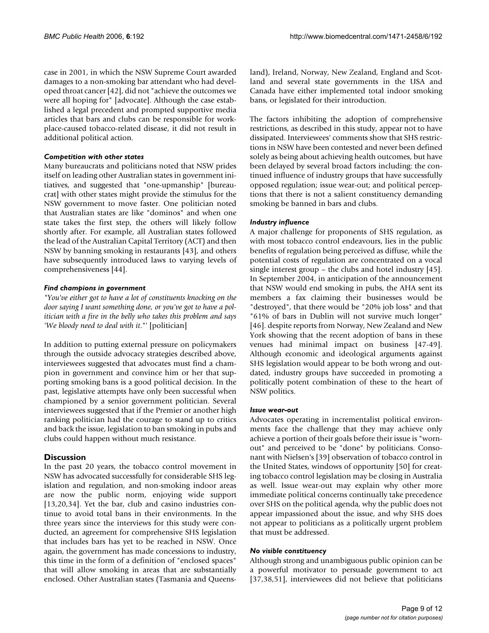case in 2001, in which the NSW Supreme Court awarded damages to a non-smoking bar attendant who had developed throat cancer [42], did not "achieve the outcomes we were all hoping for" [advocate]. Although the case established a legal precedent and prompted supportive media articles that bars and clubs can be responsible for workplace-caused tobacco-related disease, it did not result in additional political action.

#### *Competition with other states*

Many bureaucrats and politicians noted that NSW prides itself on leading other Australian states in government initiatives, and suggested that "one-upmanship" [bureaucrat] with other states might provide the stimulus for the NSW government to move faster. One politician noted that Australian states are like "dominos" and when one state takes the first step, the others will likely follow shortly after. For example, all Australian states followed the lead of the Australian Capital Territory (ACT) and then NSW by banning smoking in restaurants [43], and others have subsequently introduced laws to varying levels of comprehensiveness [44].

#### *Find champions in government*

*"You've either got to have a lot of constituents knocking on the door saying I want something done, or you've got to have a politician with a fire in the belly who takes this problem and says 'We bloody need to deal with it*."' [politician]

In addition to putting external pressure on policymakers through the outside advocacy strategies described above, interviewees suggested that advocates must find a champion in government and convince him or her that supporting smoking bans is a good political decision. In the past, legislative attempts have only been successful when championed by a senior government politician. Several interviewees suggested that if the Premier or another high ranking politician had the courage to stand up to critics and back the issue, legislation to ban smoking in pubs and clubs could happen without much resistance.

## **Discussion**

In the past 20 years, the tobacco control movement in NSW has advocated successfully for considerable SHS legislation and regulation, and non-smoking indoor areas are now the public norm, enjoying wide support [13,20,34]. Yet the bar, club and casino industries continue to avoid total bans in their environments. In the three years since the interviews for this study were conducted, an agreement for comprehensive SHS legislation that includes bars has yet to be reached in NSW. Once again, the government has made concessions to industry, this time in the form of a definition of "enclosed spaces" that will allow smoking in areas that are substantially enclosed. Other Australian states (Tasmania and Queensland), Ireland, Norway, New Zealand, England and Scotland and several state governments in the USA and Canada have either implemented total indoor smoking bans, or legislated for their introduction.

The factors inhibiting the adoption of comprehensive restrictions, as described in this study, appear not to have dissipated. Interviewees' comments show that SHS restrictions in NSW have been contested and never been defined solely as being about achieving health outcomes, but have been delayed by several broad factors including: the continued influence of industry groups that have successfully opposed regulation; issue wear-out; and political perceptions that there is not a salient constituency demanding smoking be banned in bars and clubs.

## *Industry influence*

A major challenge for proponents of SHS regulation, as with most tobacco control endeavours, lies in the public benefits of regulation being perceived as diffuse, while the potential costs of regulation are concentrated on a vocal single interest group – the clubs and hotel industry [45]. In September 2004, in anticipation of the announcement that NSW would end smoking in pubs, the AHA sent its members a fax claiming their businesses would be "destroyed", that there would be "20% job loss" and that "61% of bars in Dublin will not survive much longer" [46]. despite reports from Norway, New Zealand and New York showing that the recent adoption of bans in these venues had minimal impact on business [47-49]. Although economic and ideological arguments against SHS legislation would appear to be both wrong and outdated, industry groups have succeeded in promoting a politically potent combination of these to the heart of NSW politics.

## *Issue wear-out*

Advocates operating in incrementalist political environments face the challenge that they may achieve only achieve a portion of their goals before their issue is "wornout" and perceived to be "done" by politicians. Consonant with Nielsen's [39] observation of tobacco control in the United States, windows of opportunity [50] for creating tobacco control legislation may be closing in Australia as well. Issue wear-out may explain why other more immediate political concerns continually take precedence over SHS on the political agenda, why the public does not appear impassioned about the issue, and why SHS does not appear to politicians as a politically urgent problem that must be addressed.

#### *No visible constituency*

Although strong and unambiguous public opinion can be a powerful motivator to persuade government to act [37,38,51], interviewees did not believe that politicians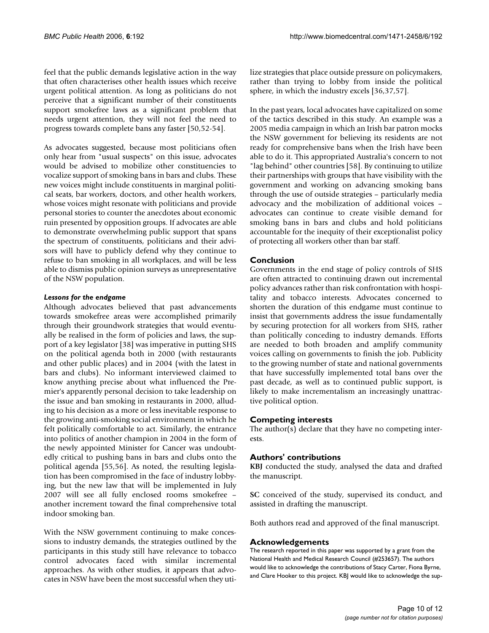feel that the public demands legislative action in the way that often characterises other health issues which receive urgent political attention. As long as politicians do not perceive that a significant number of their constituents support smokefree laws as a significant problem that needs urgent attention, they will not feel the need to progress towards complete bans any faster [50,52-54].

As advocates suggested, because most politicians often only hear from "usual suspects" on this issue, advocates would be advised to mobilize other constituencies to vocalize support of smoking bans in bars and clubs. These new voices might include constituents in marginal political seats, bar workers, doctors, and other health workers, whose voices might resonate with politicians and provide personal stories to counter the anecdotes about economic ruin presented by opposition groups. If advocates are able to demonstrate overwhelming public support that spans the spectrum of constituents, politicians and their advisors will have to publicly defend why they continue to refuse to ban smoking in all workplaces, and will be less able to dismiss public opinion surveys as unrepresentative of the NSW population.

#### *Lessons for the endgame*

Although advocates believed that past advancements towards smokefree areas were accomplished primarily through their groundwork strategies that would eventually be realised in the form of policies and laws, the support of a key legislator [38] was imperative in putting SHS on the political agenda both in 2000 (with restaurants and other public places) and in 2004 (with the latest in bars and clubs). No informant interviewed claimed to know anything precise about what influenced the Premier's apparently personal decision to take leadership on the issue and ban smoking in restaurants in 2000, alluding to his decision as a more or less inevitable response to the growing anti-smoking social environment in which he felt politically comfortable to act. Similarly, the entrance into politics of another champion in 2004 in the form of the newly appointed Minister for Cancer was undoubtedly critical to pushing bans in bars and clubs onto the political agenda [55,56]. As noted, the resulting legislation has been compromised in the face of industry lobbying, but the new law that will be implemented in July 2007 will see all fully enclosed rooms smokefree – another increment toward the final comprehensive total indoor smoking ban.

With the NSW government continuing to make concessions to industry demands, the strategies outlined by the participants in this study still have relevance to tobacco control advocates faced with similar incremental approaches. As with other studies, it appears that advocates in NSW have been the most successful when they utilize strategies that place outside pressure on policymakers, rather than trying to lobby from inside the political sphere, in which the industry excels [36,37,57].

In the past years, local advocates have capitalized on some of the tactics described in this study. An example was a 2005 media campaign in which an Irish bar patron mocks the NSW government for believing its residents are not ready for comprehensive bans when the Irish have been able to do it. This appropriated Australia's concern to not "lag behind" other countries [58]. By continuing to utilize their partnerships with groups that have visibility with the government and working on advancing smoking bans through the use of outside strategies – particularly media advocacy and the mobilization of additional voices – advocates can continue to create visible demand for smoking bans in bars and clubs and hold politicians accountable for the inequity of their exceptionalist policy of protecting all workers other than bar staff.

# **Conclusion**

Governments in the end stage of policy controls of SHS are often attracted to continuing drawn out incremental policy advances rather than risk confrontation with hospitality and tobacco interests. Advocates concerned to shorten the duration of this endgame must continue to insist that governments address the issue fundamentally by securing protection for all workers from SHS, rather than politically conceding to industry demands. Efforts are needed to both broaden and amplify community voices calling on governments to finish the job. Publicity to the growing number of state and national governments that have successfully implemented total bans over the past decade, as well as to continued public support, is likely to make incrementalism an increasingly unattractive political option.

## **Competing interests**

The author(s) declare that they have no competing interests.

## **Authors' contributions**

**KBJ** conducted the study, analysed the data and drafted the manuscript.

**SC** conceived of the study, supervised its conduct, and assisted in drafting the manuscript.

Both authors read and approved of the final manuscript.

## **Acknowledgements**

The research reported in this paper was supported by a grant from the National Health and Medical Research Council (#253657). The authors would like to acknowledge the contributions of Stacy Carter, Fiona Byrne, and Clare Hooker to this project. KBJ would like to acknowledge the sup-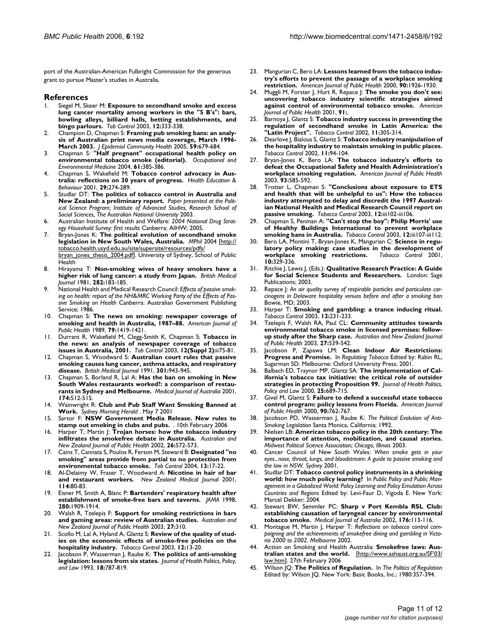port of the Australian-American Fulbright Commission for the generous grant to pursue Master's studies in Australia.

#### **References**

- 1. Siegel M, Skeer M: **[Exposure to secondhand smoke and excess](http://www.ncbi.nlm.nih.gov/entrez/query.fcgi?cmd=Retrieve&db=PubMed&dopt=Abstract&list_uids=12958397) [lung cancer mortality among workers in the "5 B's": bars,](http://www.ncbi.nlm.nih.gov/entrez/query.fcgi?cmd=Retrieve&db=PubMed&dopt=Abstract&list_uids=12958397) bowling alleys, billiard halls, betting establishments, and [bingo parlours.](http://www.ncbi.nlm.nih.gov/entrez/query.fcgi?cmd=Retrieve&db=PubMed&dopt=Abstract&list_uids=12958397)** *Tob Control* 2003, **12:**333-338.
- 2. Champion D, Chapman S: **[Framing pub smoking bans: an analy](http://www.ncbi.nlm.nih.gov/entrez/query.fcgi?cmd=Retrieve&db=PubMed&dopt=Abstract&list_uids=16020646)[sis of Australian print news media coverage, March 1996-](http://www.ncbi.nlm.nih.gov/entrez/query.fcgi?cmd=Retrieve&db=PubMed&dopt=Abstract&list_uids=16020646) [March 2003.](http://www.ncbi.nlm.nih.gov/entrez/query.fcgi?cmd=Retrieve&db=PubMed&dopt=Abstract&list_uids=16020646)** *J Epidemiol Community Health* 2005, **59:**679-684.
- 3. Chapman S: **"Half pregnant" occupational health policy on environmental tobacco smoke (editorial).** *Occupational and Environmental Medicine* 2004, **61:**385-386.
- 4. Chapman S, Wakefield M: **Tobacco control advocacy in Australia: reflections on 30 years of progress.** *Health Education & Behaviour* 2001, **29:**274-289.
- 5. Studlar DT: **The politics of tobacco control in Australia and New Zealand: a preliminary report.** *Paper presented at the Political Science Program; Institute of Advanced Studies, Research School of Social Sciences, The Australian National University* 2003.
- 6. Australian Institute of Health and Welfare: *2004 National Drug Strategy Household Survey: first results* Canberra: AIHW; 2005.
- 7. Bryan-Jones K: **The political evolution of secondhand smoke legislation in New South Wales, Australia.** *MPhil* 2004 [[http://](http://tobacco.health.usyd.edu.au/site/supersite/resources/pdfs/bryan_jones_thesis_2004.pdf) [tobacco.health.usyd.edu.au/site/supersite/resources/pdfs/](http://tobacco.health.usyd.edu.au/site/supersite/resources/pdfs/bryan_jones_thesis_2004.pdf) [bryan\\_jones\\_thesis\\_2004.pdf\]](http://tobacco.health.usyd.edu.au/site/supersite/resources/pdfs/bryan_jones_thesis_2004.pdf). University of Sydney, School of Public Health
- 8. Hirayama T: **[Non-smoking wives of heavy smokers have a](http://www.ncbi.nlm.nih.gov/entrez/query.fcgi?cmd=Retrieve&db=PubMed&dopt=Abstract&list_uids=6779940) [higher risk of lung cancer: a study from Japan.](http://www.ncbi.nlm.nih.gov/entrez/query.fcgi?cmd=Retrieve&db=PubMed&dopt=Abstract&list_uids=6779940)** *British Medical Journal* 1981, **282:**183-185.
- 9. National Health and Medical Research Council: *Effects of passive smoking on health: report of the NH&MRC Working Party of the Effects of Passive Smoking on Health* Canberra: Australian Government Publishing Service; 1986.
- 10. Chapman S: **[The news on smoking: newspaper coverage of](http://www.ncbi.nlm.nih.gov/entrez/query.fcgi?cmd=Retrieve&db=PubMed&dopt=Abstract&list_uids=2782518) [smoking and health in Australia, 1987–88.](http://www.ncbi.nlm.nih.gov/entrez/query.fcgi?cmd=Retrieve&db=PubMed&dopt=Abstract&list_uids=2782518)** *American Journal of Public Health* 1989, **79:**1419-1421.
- 11. Durrant R, Wakefield M, Clegg-Smith K, Chapman S: **[Tobacco in](http://www.ncbi.nlm.nih.gov/entrez/query.fcgi?cmd=Retrieve&db=PubMed&dopt=Abstract&list_uids=12878777) [the news: an analysis of newspaper coverage of tobacco](http://www.ncbi.nlm.nih.gov/entrez/query.fcgi?cmd=Retrieve&db=PubMed&dopt=Abstract&list_uids=12878777) [issues in Australia, 2001.](http://www.ncbi.nlm.nih.gov/entrez/query.fcgi?cmd=Retrieve&db=PubMed&dopt=Abstract&list_uids=12878777)** *Tob Control* 2003, **12(Suppl 2):**ii75-81.
- 12. Chapman S, Woodward S: **Australian court rules that passive smoking causes lung cancer, asthma attacks, and respiratory disease.** *British Medical Journal* 1991, **301:**943-945.
- 13. Chapman S, Borland R, Lal A: **[Has the ban on smoking in New](http://www.ncbi.nlm.nih.gov/entrez/query.fcgi?cmd=Retrieve&db=PubMed&dopt=Abstract&list_uids=11419771) [South Wales restaurants worked?: a comparison of restau](http://www.ncbi.nlm.nih.gov/entrez/query.fcgi?cmd=Retrieve&db=PubMed&dopt=Abstract&list_uids=11419771)[rants in Sydney and Melbourne.](http://www.ncbi.nlm.nih.gov/entrez/query.fcgi?cmd=Retrieve&db=PubMed&dopt=Abstract&list_uids=11419771)** *Medical Journal of Australia* 2001, **174:**512-515.
- 14. Wainwright R: **Club and Pub Staff Want Smoking Banned at Work.** *Sydney Morning Herald* . May 7 2001
- 15. Sartor F: **NSW Government Media Release. New rules to stamp out smoking in clubs and pubs.** . 10th February 2006
- 16. Harper T, Martin J: **Trojan horses: how the tobacco industry infiltrates the smokefree debate in Australia.** *Australian and New Zealand Journal of Public Health* 2002, **26:**572-573.
- 17. Cains T, Cannata S, Poulos R, Ferson M, Steward B: **[Designated "no](http://www.ncbi.nlm.nih.gov/entrez/query.fcgi?cmd=Retrieve&db=PubMed&dopt=Abstract&list_uids=14985590) [smoking" areas provide from partial to no protection from](http://www.ncbi.nlm.nih.gov/entrez/query.fcgi?cmd=Retrieve&db=PubMed&dopt=Abstract&list_uids=14985590) [environmental tobacco smoke.](http://www.ncbi.nlm.nih.gov/entrez/query.fcgi?cmd=Retrieve&db=PubMed&dopt=Abstract&list_uids=14985590)** *Tob Control* 2004, **13:**17-22.
- 18. Al-Delaimy W, Fraser T, Woodward A: **[Nicotine in hair of bar](http://www.ncbi.nlm.nih.gov/entrez/query.fcgi?cmd=Retrieve&db=PubMed&dopt=Abstract&list_uids=11297141) [and restaurant workers.](http://www.ncbi.nlm.nih.gov/entrez/query.fcgi?cmd=Retrieve&db=PubMed&dopt=Abstract&list_uids=11297141)** *New Zealand Medical Journal* 2001, **114:**80-83.
- 19. Eisner M, Smith A, Blanc P: **[Bartenders' respiratory health after](http://www.ncbi.nlm.nih.gov/entrez/query.fcgi?cmd=Retrieve&db=PubMed&dopt=Abstract&list_uids=9851475) [establishment of smoke-free bars and taverns.](http://www.ncbi.nlm.nih.gov/entrez/query.fcgi?cmd=Retrieve&db=PubMed&dopt=Abstract&list_uids=9851475)** *JAMA* 1998, **280:**1909-1914.
- 20. Walsh R, Tzelepis F: **Support for smoking restrictions in bars and gaming areas: review of Australian studies.** *Australian and New Zealand Journal of Public Health* 2003, **27:**310.
- 21. Scollo M, Lal A, Hyland A, Glantz S: **[Review of the quality of stud](http://www.ncbi.nlm.nih.gov/entrez/query.fcgi?cmd=Retrieve&db=PubMed&dopt=Abstract&list_uids=12612356)[ies on the economic effects of smoke-free policies on the](http://www.ncbi.nlm.nih.gov/entrez/query.fcgi?cmd=Retrieve&db=PubMed&dopt=Abstract&list_uids=12612356) [hospitality industry.](http://www.ncbi.nlm.nih.gov/entrez/query.fcgi?cmd=Retrieve&db=PubMed&dopt=Abstract&list_uids=12612356)** *Tobacco Control* 2003, **12:**13-20.
- Jacobson P, Wasserman J, Raube K: The politics of anti-smoking **legislation: lessons from six states.** *Journal of Health Politics, Policy, and Law* 1993, **18:**787-819.
- 23. Mangurian C, Bero LA: **[Lessons learned from the tobacco indus](http://www.ncbi.nlm.nih.gov/entrez/query.fcgi?cmd=Retrieve&db=PubMed&dopt=Abstract&list_uids=11111269)[try's efforts to prevent the passage of a workplace smoking](http://www.ncbi.nlm.nih.gov/entrez/query.fcgi?cmd=Retrieve&db=PubMed&dopt=Abstract&list_uids=11111269) [restriction.](http://www.ncbi.nlm.nih.gov/entrez/query.fcgi?cmd=Retrieve&db=PubMed&dopt=Abstract&list_uids=11111269)** *American Journal of Public Health* 2000, **90:**1926-1930.
- 24. Muggli M, Forster J, Hurt R, Repace J: **[The smoke you don't see:](http://www.ncbi.nlm.nih.gov/entrez/query.fcgi?cmd=Retrieve&db=PubMed&dopt=Abstract&list_uids=11527774) [uncovering tobacco industry scientific strategies aimed](http://www.ncbi.nlm.nih.gov/entrez/query.fcgi?cmd=Retrieve&db=PubMed&dopt=Abstract&list_uids=11527774) [against control of environmental tobacco smoke.](http://www.ncbi.nlm.nih.gov/entrez/query.fcgi?cmd=Retrieve&db=PubMed&dopt=Abstract&list_uids=11527774)** *American Journal of Public Health* 2001, **91:**.
- 25. Barnoya J, Glantz S: **[Tobacco industry success in preventing the](http://www.ncbi.nlm.nih.gov/entrez/query.fcgi?cmd=Retrieve&db=PubMed&dopt=Abstract&list_uids=12432156) [regulation of secondhand smoke in Latin America: the](http://www.ncbi.nlm.nih.gov/entrez/query.fcgi?cmd=Retrieve&db=PubMed&dopt=Abstract&list_uids=12432156) ["Latin Project".](http://www.ncbi.nlm.nih.gov/entrez/query.fcgi?cmd=Retrieve&db=PubMed&dopt=Abstract&list_uids=12432156)** *Tobacco Control* 2002, **11:**305-314.
- 26. Dearlove J, Bialous S, Glantz S: **[Tobacco industry manipulation of](http://www.ncbi.nlm.nih.gov/entrez/query.fcgi?cmd=Retrieve&db=PubMed&dopt=Abstract&list_uids=12034999) [the hospitality industry to maintain smoking in public places.](http://www.ncbi.nlm.nih.gov/entrez/query.fcgi?cmd=Retrieve&db=PubMed&dopt=Abstract&list_uids=12034999)** *Tobacco Control* 2002, **11:**94-104.
- 27. Bryan-Jones K, Bero LA: **[The tobacco industry's efforts to](http://www.ncbi.nlm.nih.gov/entrez/query.fcgi?cmd=Retrieve&db=PubMed&dopt=Abstract&list_uids=12660202) [defeat the Occupational Safety and Health Administration's](http://www.ncbi.nlm.nih.gov/entrez/query.fcgi?cmd=Retrieve&db=PubMed&dopt=Abstract&list_uids=12660202) [workplace smoking regulation.](http://www.ncbi.nlm.nih.gov/entrez/query.fcgi?cmd=Retrieve&db=PubMed&dopt=Abstract&list_uids=12660202)** *American Journal of Public Health* 2003, **93:**585-592.
- 28. Trotter L, Chapman S: **["Conclusions about exposure to ETS](http://www.ncbi.nlm.nih.gov/entrez/query.fcgi?cmd=Retrieve&db=PubMed&dopt=Abstract&list_uids=14645955) [and health that will be unhelpful to us": How the tobacco](http://www.ncbi.nlm.nih.gov/entrez/query.fcgi?cmd=Retrieve&db=PubMed&dopt=Abstract&list_uids=14645955) industry attempted to delay and discredit the 1997 Australian National Health and Medical Research Council report on [passive smoking.](http://www.ncbi.nlm.nih.gov/entrez/query.fcgi?cmd=Retrieve&db=PubMed&dopt=Abstract&list_uids=14645955)** *Tobacco Control* 2003, **12:**iii102-iii106.
- 29. Chapman S, Penman A: **["Can't stop the boy": Philip Morris' use](http://www.ncbi.nlm.nih.gov/entrez/query.fcgi?cmd=Retrieve&db=PubMed&dopt=Abstract&list_uids=14645956) [of Healthy Buildings International to prevent workplace](http://www.ncbi.nlm.nih.gov/entrez/query.fcgi?cmd=Retrieve&db=PubMed&dopt=Abstract&list_uids=14645956) [smoking bans in Australia.](http://www.ncbi.nlm.nih.gov/entrez/query.fcgi?cmd=Retrieve&db=PubMed&dopt=Abstract&list_uids=14645956)** *Tobacco Control* 2003, **12:**iii107-iii112.
- 30. Bero LA, Montini T, Bryan-Jones K, Mangurian C: **[Science in regu](http://www.ncbi.nlm.nih.gov/entrez/query.fcgi?cmd=Retrieve&db=PubMed&dopt=Abstract&list_uids=11740023)**[latory policy making: case studies in the development of](http://www.ncbi.nlm.nih.gov/entrez/query.fcgi?cmd=Retrieve&db=PubMed&dopt=Abstract&list_uids=11740023) workplace smoking restrictions. **Tobacco Control 2001**, [workplace smoking restrictions.](http://www.ncbi.nlm.nih.gov/entrez/query.fcgi?cmd=Retrieve&db=PubMed&dopt=Abstract&list_uids=11740023) **10:**329-336.
- 31. Ritchie J, Lewis J, (Eds.): **Qualitative Research Practice: A Guide for Social Science Students and Researchers.** London: Sage Publications; 2003.
- 32. Repace J: *An air quality survey of respirable particles and particulate carcinogens in Delaware hospitality venues before and after a smoking ban* Bowie, MD; 2003.
- 33. Harper T: **[Smoking and gambling: a trance inducing ritual.](http://www.ncbi.nlm.nih.gov/entrez/query.fcgi?cmd=Retrieve&db=PubMed&dopt=Abstract&list_uids=12773737)** *Tobacco Control* 2003, **12:**231-233.
- 34. Tzelepis F, Walsh RA, Paul CL: **Community attitudes towards environmental tobacco smoke in licensed premises: followup study after the Sharp case.** *Australian and New Zealand Journal of Public Health* 2003, **27:**539-542.
- 35. Jacobson P, Zapawa LM: **Clean Indoor Air Restrictions: Progress and Promise.** In *Regulating Tobacco* Edited by: Rabin RL, Sugarman SD. Melbourne: Oxford University Press; 2001.
- 36. Balbach ED, Traynor MP, Glantz SA: **[The implementation of Cal](http://www.ncbi.nlm.nih.gov/entrez/query.fcgi?cmd=Retrieve&db=PubMed&dopt=Abstract&list_uids=10979517)[ifornia's tobacco tax initiative: the critical role of outsider](http://www.ncbi.nlm.nih.gov/entrez/query.fcgi?cmd=Retrieve&db=PubMed&dopt=Abstract&list_uids=10979517) [strategies in protecting Proposition 99.](http://www.ncbi.nlm.nih.gov/entrez/query.fcgi?cmd=Retrieve&db=PubMed&dopt=Abstract&list_uids=10979517)** *Journal of Health Politics, Policy and Law* 2000, **25:**689-715.
- 37. Givel M, Glantz S: **[Failure to defend a successful state tobacco](http://www.ncbi.nlm.nih.gov/entrez/query.fcgi?cmd=Retrieve&db=PubMed&dopt=Abstract&list_uids=10800426) [control program: policy lessons from Florida.](http://www.ncbi.nlm.nih.gov/entrez/query.fcgi?cmd=Retrieve&db=PubMed&dopt=Abstract&list_uids=10800426)** *American Journal of Public Health* 2000, **90:**762-767.
- 38. Jacobson PD, Wasserman J, Raube K: *The Political Evolution of Anti-Smoking Legislation* Santa Monica, California; 1992.
- 39. Nielsen LB: **American tobacco policy in the 20th century: The importance of attention, mobilization, and causal stories.** *Midwest Political Science Association; Chicago, Illinois* 2003.
- 40. Cancer Council of New South Wales: *When smoke gets in your eyes...nose, throat, lungs, and bloodstream: A guide to passive smoking and the law in NSW. Sydney* 2001.
- 41. Studlar DT: **Tobacco control policy instruments in a shrinking world: how much policy learning?** In *Public Policy and Public Management in a Globalized World: Policy Learning and Policy Emulation Across Countries and Regions* Edited by: Levi-Faur D, Vigoda E. New York: Marcel Dekker; 2004.
- 42. Stewart BW, Semmler PC: **[Sharp v Port Kembla RSL Club:](http://www.ncbi.nlm.nih.gov/entrez/query.fcgi?cmd=Retrieve&db=PubMed&dopt=Abstract&list_uids=11936307) [establishing causation of laryngeal cancer by environmental](http://www.ncbi.nlm.nih.gov/entrez/query.fcgi?cmd=Retrieve&db=PubMed&dopt=Abstract&list_uids=11936307) [tobacco smoke.](http://www.ncbi.nlm.nih.gov/entrez/query.fcgi?cmd=Retrieve&db=PubMed&dopt=Abstract&list_uids=11936307)** *Medical Journal of Australia* 2002, **176:**113-116.
- 43. Montague M, Martin J, Harper T: *Reflections on tobacco control campaigning and the achievements of smokefree dining and gambling in Victoria 2000 to 2002. Melbourne* 2002.
- 44. Action on Smoking and Health Australia: **Smokefree laws: Australian states and the world.** [[http://www.ashaust.org.au/SF'03/](http://www.ashaust.org.au/SF) [law.htm\]](http://www.ashaust.org.au/SF). 27th February 2006
- 45. Wilson JQ: **The Politics of Regulation.** In *The Politics of Regulation* Edited by: Wilson JQ. New York: Basic Books, Inc.; 1980:357-394.